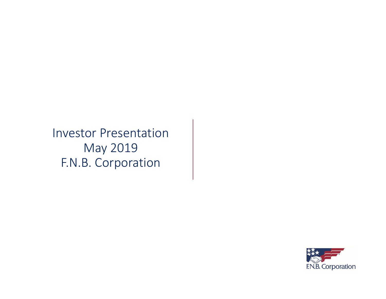Investor Presentation May 2019 F.N.B. Corporation

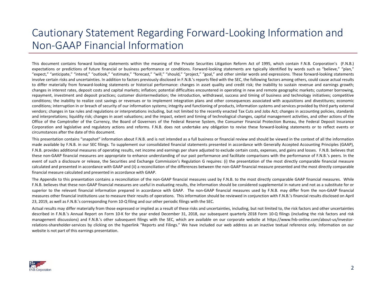### Cautionary Statement Regarding Forward‐Looking Information and Non‐GAAP Financial Information

This document contains forward looking statements within the meaning of the Private Securities Litigation Reform Act of 1995, which contain F.N.B. Corporation's (F.N.B.) expectations or predictions of future financial or business performance or conditions. Forward-looking statements are typically identified by words such as "believe," "plan," "expect," "anticipate," "intend," "outlook," "estimate," "forecast," "will," "should," "project," "goal," and other similar words and expressions. These forward‐looking statements involve certain risks and uncertainties. In addition to factors previously disclosed in F.N.B.'s reports filed with the SEC, the following factors among others, could cause actual results to differ materially from forward-looking statements or historical performance: changes in asset quality and credit risk; the inability to sustain revenue and earnings growth; changes in interest rates, deposit costs and capital markets; inflation; potential difficulties encountered in operating in new and remote geographic markets; customer borrowing, repayment, investment and deposit practices; customer disintermediation; the introduction, withdrawal, success and timing of business and technology initiatives; competitive conditions; the inability to realize cost savings or revenues or to implement integration plans and other consequences associated with acquisitions and divestitures; economic conditions; interruption in or breach of security of our information systems; integrity and functioning of products, information systems and services provided by third party external vendors; changes in tax rules and regulations or interpretations including, but not limited to the recently enacted Tax Cuts and Jobs Act; changes in accounting policies, standards and interpretations; liquidity risk; changes in asset valuations; and the impact, extent and timing of technological changes, capital management activities, and other actions of the Office of the Comptroller of the Currency, the Board of Governors of the Federal Reserve System, the Consumer Financial Protection Bureau, the Federal Deposit Insurance Corporation and legislative and regulatory actions and reforms. F.N.B. does not undertake any obligation to revise these forward-looking statements or to reflect events or circumstances after the date of this document.

This presentation contains "snapshot" information about F.N.B. and is not intended as <sup>a</sup> full business or financial review and should be viewed in the context of all the information made available by F.N.B. in our SEC filings. To supplement our consolidated financial statements presented in accordance with Generally Accepted Accounting Principles (GAAP), F.N.B. provides additional measures of operating results, net income and earnings per share adjusted to exclude certain costs, expenses, and gains and losses. F.N.B. believes that these non‐GAAP financial measures are appropriate to enhance understanding of our past performance and facilitate comparisons with the performance of F.N.B.'s peers. In the event of such a disclosure or release, the Securities and Exchange Commission's Regulation G requires: (i) the presentation of the most directly comparable financial measure calculated and presented in accordance with GAAP and (ii) <sup>a</sup> reconciliation of the differences between the non‐GAAP financial measure presented and the most directly comparable financial measure calculated and presented in accordance with GAAP.

The Appendix to this presentation contains a reconciliation of the non-GAAP financial measures used by F.N.B. to the most directly comparable GAAP financial measures. While F.N.B. believes that these non‐GAAP financial measures are useful in evaluating results, the information should be considered supplemental in nature and not as <sup>a</sup> substitute for or superior to the relevant financial information prepared in accordance with GAAP. The non‐GAAP financial measures used by F.N.B. may differ from the non‐GAAP financial measures other financial institutions use to measure their results of operations. This information should be reviewed in conjunction with F.N.B.'s financial results disclosed on April 23, 2019, as well as F.N.B.'s corresponding Form 10‐Q filing and our other periodic filings with the SEC.

Actual results may differ materially from those expressed or implied as <sup>a</sup> result of these risks and uncertainties, including, but not limited to, the risk factors and other uncertainties described in F.N.B.'s Annual Report on Form 10‐K for the year ended December 31, 2018, our subsequent quarterly 2018 Form 10‐Q filings (including the risk factors and risk management discussions) and F.N.B.'s other subsequent filings with the SEC, which are available on our corporate website at https://www.fnb-online.com/about-us/investorrelations‐shareholder‐services by clicking on the hyperlink "Reports and Filings." We have included our web address as an inactive textual reference only. Information on our website is not part of this earnings presentation.

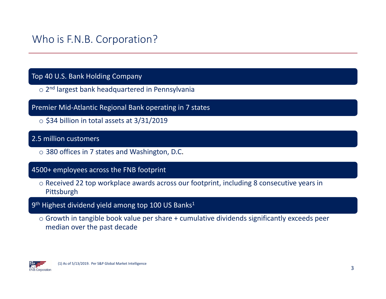### Who is F.N.B. Corporation?

### Top 40 U.S. Bank Holding Company

- o 2<sup>nd</sup> largest bank headquartered in Pennsylvania
- Premier Mid‐Atlantic Regional Bank operating in 7 states
	- $\circ$  \$34 billion in total assets at 3/31/2019

### 2.5 million customers

o 380 offices in 7 states and Washington, D.C.

### 4500+ employees across the FNB footprint

- o Received 22 top workplace awards across our footprint, including 8 consecutive years in Pittsburgh
- 9<sup>th</sup> Highest dividend yield among top 100 US Banks<sup>1</sup>
	- $\circ$  Growth in tangible book value per share + cumulative dividends significantly exceeds peer median over the past decade

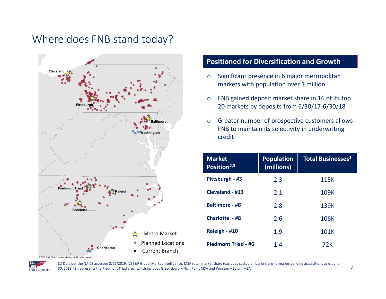### Where does FNB stand today?



### **Positioned for Diversification and Growth**

- o Significant presence in 6 major metropolitan markets with population over 1 million
- o FNB gained deposit market share in 16 of its top 20 markets by deposits from 6/30/17‐6/30/18
- o Greater number of prospective customers allows FNB to maintain its selectivity in underwriting credit

| <b>Market</b><br>Position <sup>2,3</sup> | <b>Population</b><br>(millions) | <b>Total Businesses<sup>1</sup></b> |
|------------------------------------------|---------------------------------|-------------------------------------|
| Pittsburgh - #3                          | 2.3                             | 115K                                |
| Cleveland - #13                          | 2.1                             | 109K                                |
| <b>Baltimore - #8</b>                    | 2.8                             | 139K                                |
| Charlotte - #8                           | 2.6                             | 106K                                |
| Raleigh - #10                            | 1.9                             | 101K                                |
| Piedmont Triad - #6                      | 1.4                             | 72K                                 |

@ 2019 S&P Global Market Intelligence All rights reserved

**F.N.B.** Corporation

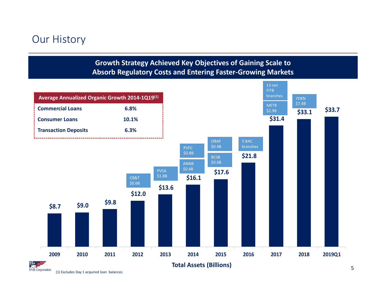### Our History



(1) Excludes Day 1 acquired loan balances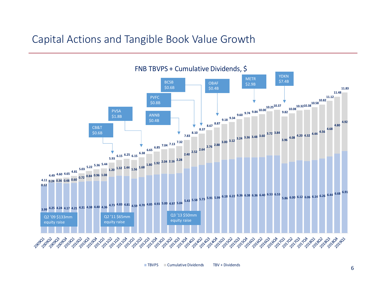### Capital Actions and Tangible Book Value Growth



TBVPS Cumulative Dividends TBVTBV + Dividends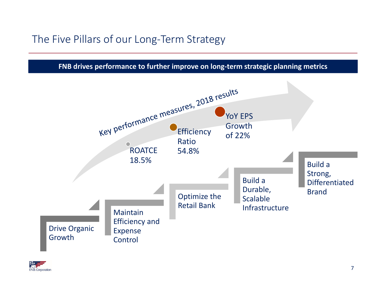## The Five Pillars of our Long‐Term Strategy

**FNB drives performance to further improve on long‐term strategic planning metrics**



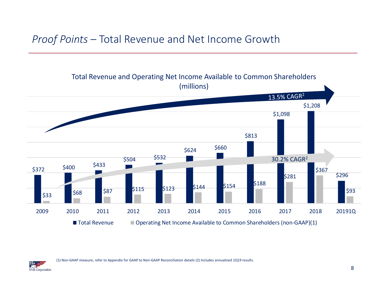### *Proof Points* – Total Revenue and Net Income Growth



(1) Non‐GAAP measure, refer to Appendix for GAAP to Non‐GAAP Reconciliation details (2) Includes annualized 1Q19 results.

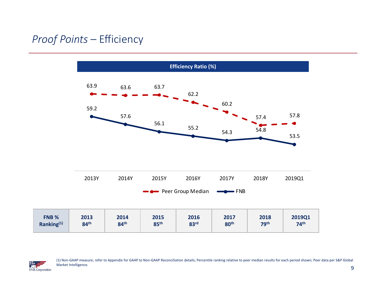## *Proof Points* – Efficiency





(1) Non‐GAAP measure, refer to Appendix for GAAP to Non‐GAAP Reconciliation details; Percentile ranking relative to peer median results for each period shown; Peer data per S&P Global Market Intelligence.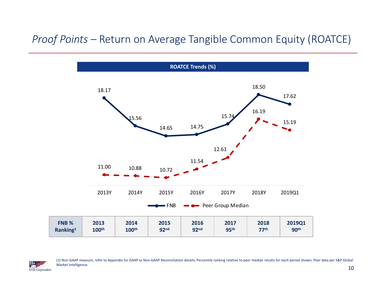### *Proof Points –* Return on Average Tangible Common Equity (ROATCE)





(1) Non‐GAAP measure, refer to Appendix for GAAP to Non‐GAAP Reconciliation details; Percentile ranking relative to peer median results for each period shown; Peer data per S&P Global Market Intelligence.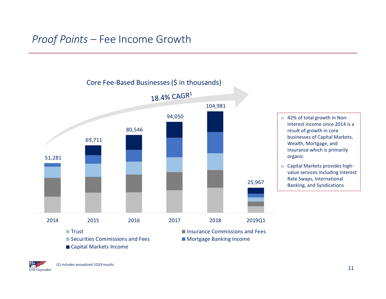### *Proof Points* – Fee Income Growth



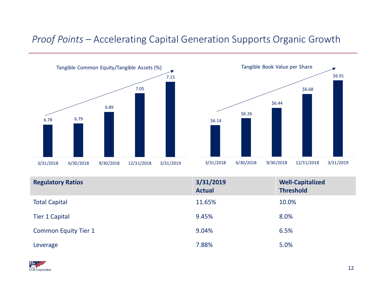### *Proof Points –* Accelerating Capital Generation Supports Organic Growth





| <b>Regulatory Ratios</b>    | 3/31/2019<br><b>Actual</b> | <b>Well-Capitalized</b><br><b>Threshold</b> |
|-----------------------------|----------------------------|---------------------------------------------|
| <b>Total Capital</b>        | 11.65%                     | 10.0%                                       |
| <b>Tier 1 Capital</b>       | 9.45%                      | 8.0%                                        |
| <b>Common Equity Tier 1</b> | 9.04%                      | 6.5%                                        |
| Leverage                    | 7.88%                      | 5.0%                                        |

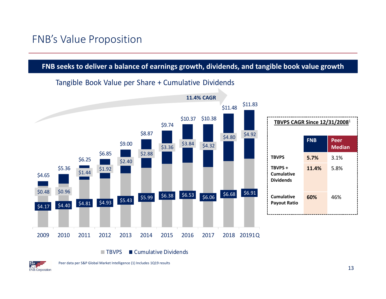### FNB's Value Proposition

### **FNB seeks to deliver <sup>a</sup> balance of earnings growth, dividends, and tangible book value growth**

#### $\begin{array}{|c|c|c|c|c|c|}\n\hline\n\text{54.40} & \text{54.81} & \text{54.93} & \text{55.43} & \text{55.99} & \text{56.38} & \text{56.53} & \text{56.06} & \text{56.68} & \text{56.91} \\
\hline\n\end{array}$  $$4.80$   $$4.92$  $$3.36$   $$3.84$   $$4.32$ \$2.88 \$2.40 \$1.92 \$0.48 \$0.96 \$11.83 \$11.48 \$10.37 \$10.38 \$9.74 \$8.87 \$9.00 \$6.85 \$6.25 \$5.36 \$4.65 2009 2010 2011 2012 2013 2014 2015 2016 2017 2018 20191Q **TBVPS CAGR Since 12/31/2008**<sup>1</sup> **FNB PeerMedian TBVPS 5.7%** 3.1% **TBVPS +CumulativeDividends11.4%** 5.8% **CumulativePayout Ratio 60%** 46% **11.4% CAGR**

### Tangible Book Value per Share <sup>+</sup> Cumulative Dividends

**TBVPS** S ■ Cumulative Dividends

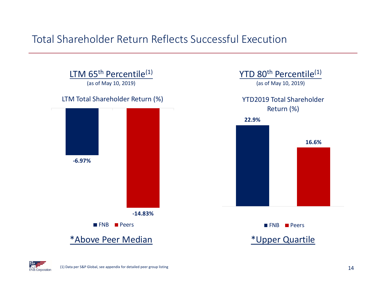### Total Shareholder Return Reflects Successful Execution



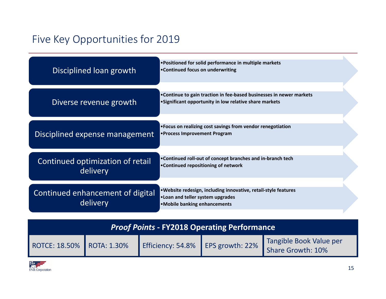# Five Key Opportunities for 2019

| Disciplined loan growth                      | • Positioned for solid performance in multiple markets<br>•Continued focus on underwriting                                            |
|----------------------------------------------|---------------------------------------------------------------------------------------------------------------------------------------|
| Diverse revenue growth                       | • Continue to gain traction in fee-based businesses in newer markets<br>• Significant opportunity in low relative share markets       |
| Disciplined expense management               | • Focus on realizing cost savings from vendor renegotiation<br>• Process Improvement Program                                          |
| Continued optimization of retail<br>delivery | . Continued roll-out of concept branches and in-branch tech<br>•Continued repositioning of network                                    |
| Continued enhancement of digital<br>delivery | . Website redesign, including innovative, retail-style features<br>. Loan and teller system upgrades<br>• Mobile banking enhancements |

| <b>Proof Points - FY2018 Operating Performance</b> |  |                                   |  |                                              |  |  |
|----------------------------------------------------|--|-----------------------------------|--|----------------------------------------------|--|--|
| ROTCE: 18.50%   ROTA: 1.30%                        |  | Efficiency: 54.8% EPS growth: 22% |  | Tangible Book Value per<br>Share Growth: 10% |  |  |

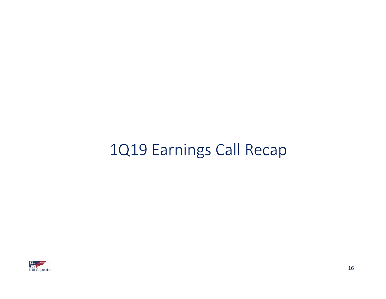# 1Q19 Earnings Call Recap

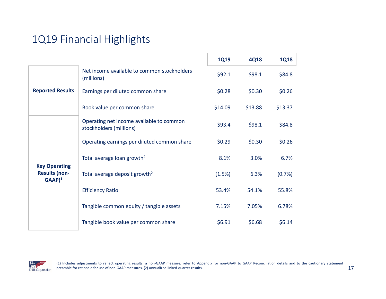# 1Q19 Financial Highlights

|                                             |                                                                     | <b>1Q19</b> | <b>4Q18</b> | <b>1Q18</b> |
|---------------------------------------------|---------------------------------------------------------------------|-------------|-------------|-------------|
|                                             | Net income available to common stockholders<br>(millions)           | \$92.1      | \$98.1      | \$84.8      |
| <b>Reported Results</b>                     | Earnings per diluted common share                                   | \$0.28\$    | \$0.30      | \$0.26      |
|                                             | Book value per common share                                         | \$14.09     | \$13.88     | \$13.37     |
|                                             | Operating net income available to common<br>stockholders (millions) | \$93.4      | \$98.1      | \$84.8      |
| <b>Key Operating</b>                        | Operating earnings per diluted common share                         | \$0.29      | \$0.30      | \$0.26      |
|                                             | Total average loan growth <sup>2</sup>                              | 8.1%        | 3.0%        | 6.7%        |
| <b>Results (non-</b><br>$GAAP$ <sup>1</sup> | Total average deposit growth <sup>2</sup>                           | (1.5%)      | 6.3%        | (0.7%)      |
|                                             | <b>Efficiency Ratio</b>                                             | 53.4%       | 54.1%       | 55.8%       |
|                                             | Tangible common equity / tangible assets                            | 7.15%       | 7.05%       | 6.78%       |
|                                             | Tangible book value per common share                                | \$6.91      | \$6.68      | \$6.14      |

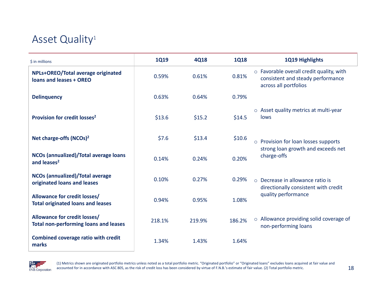## Asset Quality<sup>1</sup>

| $$$ in millions                                                                     | <b>1Q19</b> | <b>4Q18</b> | <b>1Q18</b> | 1Q19 Highlights                                                                                        |
|-------------------------------------------------------------------------------------|-------------|-------------|-------------|--------------------------------------------------------------------------------------------------------|
| NPLs+OREO/Total average originated<br>loans and leases + OREO                       | 0.59%       | 0.61%       | 0.81%       | o Favorable overall credit quality, with<br>consistent and steady performance<br>across all portfolios |
| <b>Delinquency</b>                                                                  | 0.63%       | 0.64%       | 0.79%       |                                                                                                        |
| Provision for credit losses <sup>2</sup>                                            | \$13.6      | \$15.2      | \$14.5      | ○ Asset quality metrics at multi-year<br>lows                                                          |
| Net charge-offs (NCOs) <sup>2</sup>                                                 | \$7.6       | \$13.4      | \$10.6      | o Provision for loan losses supports                                                                   |
| NCOs (annualized)/Total average loans<br>and leases <sup>2</sup>                    | 0.14%       | 0.24%       | 0.20%       | strong loan growth and exceeds net<br>charge-offs                                                      |
| <b>NCOs (annualized)/Total average</b><br>originated loans and leases               | 0.10%       | 0.27%       | 0.29%       | $\circ$ Decrease in allowance ratio is<br>directionally consistent with credit                         |
| <b>Allowance for credit losses/</b><br><b>Total originated loans and leases</b>     | 0.94%       | 0.95%       | 1.08%       | quality performance                                                                                    |
| <b>Allowance for credit losses/</b><br><b>Total non-performing loans and leases</b> | 218.1%      | 219.9%      | 186.2%      | $\circ$ Allowance providing solid coverage of<br>non-performing loans                                  |
| <b>Combined coverage ratio with credit</b><br>marks                                 | 1.34%       | 1.43%       | 1.64%       |                                                                                                        |



(1) Metrics shown are originated portfolio metrics unless noted as <sup>a</sup> total portfolio metric. "Originated portfolio" or "Originated loans" excludes loans acquired at fair value and accounted for in accordance with ASC 805, as the risk of credit loss has been considered by virtue of F.N.B.'s estimate of fair value. (2) Total portfolio metric.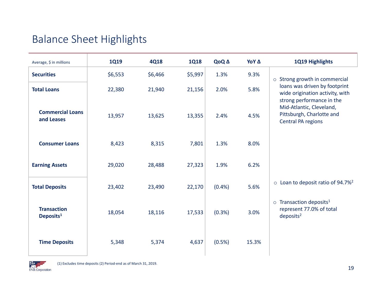# Balance Sheet Highlights

| Average, \$ in millions                     | <b>1Q19</b> | 4Q18    | <b>1Q18</b> | QoQ A   | ΥοΥ Δ | 1Q19 Highlights                                                                                |
|---------------------------------------------|-------------|---------|-------------|---------|-------|------------------------------------------------------------------------------------------------|
| <b>Securities</b>                           | \$6,553     | \$6,466 | \$5,997     | 1.3%    | 9.3%  | o Strong growth in commercial                                                                  |
| <b>Total Loans</b>                          | 22,380      | 21,940  | 21,156      | 2.0%    | 5.8%  | loans was driven by footprint<br>wide origination activity, with<br>strong performance in the  |
| <b>Commercial Loans</b><br>and Leases       | 13,957      | 13,625  | 13,355      | 2.4%    | 4.5%  | Mid-Atlantic, Cleveland,<br>Pittsburgh, Charlotte and<br><b>Central PA regions</b>             |
| <b>Consumer Loans</b>                       | 8,423       | 8,315   | 7,801       | 1.3%    | 8.0%  |                                                                                                |
| <b>Earning Assets</b>                       | 29,020      | 28,488  | 27,323      | 1.9%    | 6.2%  |                                                                                                |
| <b>Total Deposits</b>                       | 23,402      | 23,490  | 22,170      | (0.4% ) | 5.6%  | $\circ$ Loan to deposit ratio of 94.7% <sup>2</sup>                                            |
| <b>Transaction</b><br>Deposits <sup>1</sup> | 18,054      | 18,116  | 17,533      | (0.3% ) | 3.0%  | $\circ$ Transaction deposits <sup>1</sup><br>represent 77.0% of total<br>deposits <sup>2</sup> |
| <b>Time Deposits</b>                        | 5,348       | 5,374   | 4,637       | (0.5%)  | 15.3% |                                                                                                |

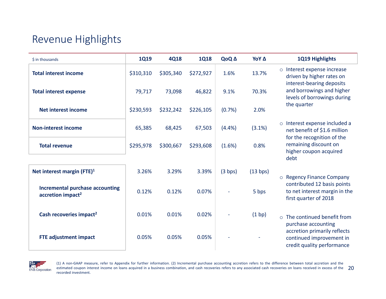## Revenue Highlights

| \$ in thousands                                                         | <b>1Q19</b> | <b>4Q18</b> | <b>1Q18</b> | QoQ A   | ΥοΥ Δ    | 1Q19 Highlights                                                                                |
|-------------------------------------------------------------------------|-------------|-------------|-------------|---------|----------|------------------------------------------------------------------------------------------------|
| <b>Total interest income</b>                                            | \$310,310   | \$305,340   | \$272,927   | 1.6%    | 13.7%    | Interest expense increase<br>$\circ$<br>driven by higher rates on<br>interest-bearing deposits |
| <b>Total interest expense</b>                                           | 79,717      | 73,098      | 46,822      | 9.1%    | 70.3%    | and borrowings and higher<br>levels of borrowings during                                       |
| <b>Net interest income</b>                                              | \$230,593   | \$232,242   | \$226,105   | (0.7%   | 2.0%     | the quarter                                                                                    |
| <b>Non-interest income</b>                                              | 65,385      | 68,425      | 67,503      | (4.4%)  | (3.1%)   | o Interest expense included a<br>net benefit of \$1.6 million<br>for the recognition of the    |
| <b>Total revenue</b>                                                    | \$295,978   | \$300,667   | \$293,608   | (1.6%)  | 0.8%     | remaining discount on<br>higher coupon acquired<br>debt                                        |
| Net interest margin (FTE) $1$                                           | 3.26%       | 3.29%       | 3.39%       | (3 bps) | (13 bps) | o Regency Finance Company                                                                      |
| <b>Incremental purchase accounting</b><br>accretion impact <sup>2</sup> | 0.12%       | 0.12%       | 0.07%       |         | 5 bps    | contributed 12 basis points<br>to net interest margin in the<br>first quarter of 2018          |
| Cash recoveries impact <sup>2</sup>                                     | 0.01%       | 0.01%       | 0.02%       |         | (1 bp)   | The continued benefit from<br>$\Omega$<br>purchase accounting                                  |
| <b>FTE adjustment impact</b>                                            | 0.05%       | 0.05%       | 0.05%       |         |          | accretion primarily reflects<br>continued improvement in<br>credit quality performance         |



estimated coupon interest income on loans acquired in a business combination, and cash recoveries refers to any associated cash recoveries on loans received in excess of the  $\;\;20$ (1) A non‐GAAP measure, refer to Appendix for further information. (2) Incremental purchase accounting accretion refers to the difference between total accretion and the recorded investment.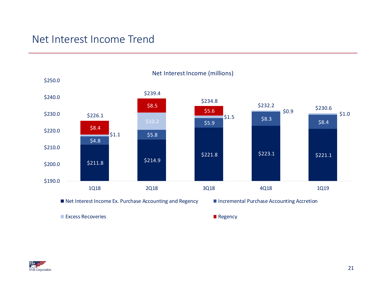### Net Interest Income Trend

**F.N.B.** Corporation



21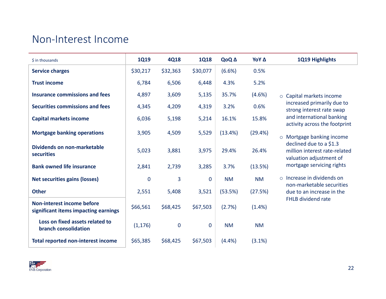### Non‐Interest Income

| $$$ in thousands                                                          | <b>1Q19</b>    | <b>4Q18</b> | <b>1Q18</b>  | QoQ A     | ΥοΥ Δ     | 1Q19 Highlights                                                                     |
|---------------------------------------------------------------------------|----------------|-------------|--------------|-----------|-----------|-------------------------------------------------------------------------------------|
| <b>Service charges</b>                                                    | \$30,217       | \$32,363    | \$30,077     | (6.6%)    | 0.5%      |                                                                                     |
| <b>Trust income</b>                                                       | 6,784          | 6,506       | 6,448        | 4.3%      | 5.2%      |                                                                                     |
| <b>Insurance commissions and fees</b>                                     | 4,897          | 3,609       | 5,135        | 35.7%     | (4.6%)    | ○ Capital markets income                                                            |
| Securities commissions and fees                                           | 4,345          | 4,209       | 4,319        | 3.2%      | 0.6%      | increased primarily due to<br>strong interest rate swap                             |
| <b>Capital markets income</b>                                             | 6,036          | 5,198       | 5,214        | 16.1%     | 15.8%     | and international banking<br>activity across the footprint                          |
| <b>Mortgage banking operations</b>                                        | 3,905          | 4,509       | 5,529        | (13.4%)   | (29.4%)   | Mortgage banking income<br>$\circ$                                                  |
| Dividends on non-marketable<br>securities                                 | 5,023          | 3,881       | 3,975        | 29.4%     | 26.4%     | declined due to a \$1.3<br>million interest rate-related<br>valuation adjustment of |
| <b>Bank owned life insurance</b>                                          | 2,841          | 2,739       | 3,285        | 3.7%      | (13.5%)   | mortgage servicing rights                                                           |
| <b>Net securities gains (losses)</b>                                      | $\overline{0}$ | 3           | $\mathbf{0}$ | <b>NM</b> | <b>NM</b> | $\circ$ Increase in dividends on<br>non-marketable securities                       |
| <b>Other</b>                                                              | 2,551          | 5,408       | 3,521        | (53.5%)   | (27.5%)   | due to an increase in the                                                           |
| <b>Non-interest income before</b><br>significant items impacting earnings | \$66,561       | \$68,425    | \$67,503     | (2.7%)    | (1.4% )   | <b>FHLB dividend rate</b>                                                           |
| Loss on fixed assets related to<br>branch consolidation                   | (1, 176)       | $\bf 0$     | $\mathbf 0$  | <b>NM</b> | <b>NM</b> |                                                                                     |
| <b>Total reported non-interest income</b>                                 | \$65,385       | \$68,425    | \$67,503     | (4.4%)    | (3.1%)    |                                                                                     |

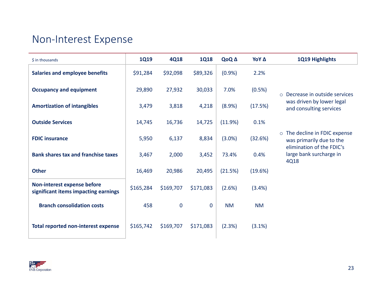### Non‐Interest Expense

| \$ in thousands                                                     | <b>1Q19</b> | <b>4Q18</b> | <b>1Q18</b>  | QoQ A     | ΥοΥ Δ     | 1Q19 Highlights                                                                        |
|---------------------------------------------------------------------|-------------|-------------|--------------|-----------|-----------|----------------------------------------------------------------------------------------|
| <b>Salaries and employee benefits</b>                               | \$91,284    | \$92,098    | \$89,326     | (0.9%     | 2.2%      |                                                                                        |
| <b>Occupancy and equipment</b>                                      | 29,890      | 27,932      | 30,033       | 7.0%      | (0.5%)    | Decrease in outside services<br>$\Omega$                                               |
| <b>Amortization of intangibles</b>                                  | 3,479       | 3,818       | 4,218        | (8.9%)    | (17.5%)   | was driven by lower legal<br>and consulting services                                   |
| <b>Outside Services</b>                                             | 14,745      | 16,736      | 14,725       | (11.9%)   | 0.1%      |                                                                                        |
| <b>FDIC insurance</b>                                               | 5,950       | 6,137       | 8,834        | $(3.0\%)$ | (32.6%)   | o The decline in FDIC expense<br>was primarily due to the<br>elimination of the FDIC's |
| <b>Bank shares tax and franchise taxes</b>                          | 3,467       | 2,000       | 3,452        | 73.4%     | 0.4%      | large bank surcharge in<br>4Q18                                                        |
| <b>Other</b>                                                        | 16,469      | 20,986      | 20,495       | (21.5%)   | (19.6%)   |                                                                                        |
| Non-interest expense before<br>significant items impacting earnings | \$165,284   | \$169,707   | \$171,083    | (2.6%)    | (3.4%)    |                                                                                        |
| <b>Branch consolidation costs</b>                                   | 458         | $\mathbf 0$ | $\mathbf{0}$ | <b>NM</b> | <b>NM</b> |                                                                                        |
| <b>Total reported non-interest expense</b>                          | \$165,742   | \$169,707   | \$171,083    | (2.3%)    | (3.1%)    |                                                                                        |

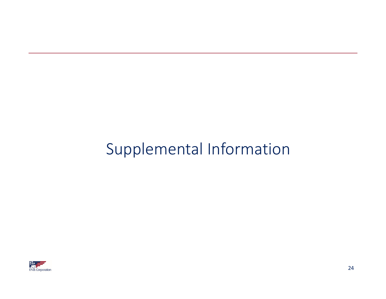# Supplemental Information

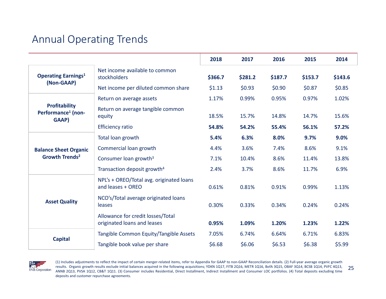# Annual Operating Trends

|                                                                 |                                                                  | 2018                                                                                                                                                                                                                  | 2017    | 2016    | 2015    | 2014    |
|-----------------------------------------------------------------|------------------------------------------------------------------|-----------------------------------------------------------------------------------------------------------------------------------------------------------------------------------------------------------------------|---------|---------|---------|---------|
| <b>Operating Earnings1</b><br>(Non-GAAP)                        | Net income available to common<br>stockholders                   | \$366.7                                                                                                                                                                                                               | \$281.2 | \$187.7 | \$153.7 | \$143.6 |
|                                                                 | Net income per diluted common share                              | \$1.13                                                                                                                                                                                                                | \$0.93  | \$0.90  | \$0.87  | \$0.85  |
|                                                                 | Return on average assets                                         | 1.17%                                                                                                                                                                                                                 | 0.99%   | 0.95%   | 0.97%   | 1.02%   |
| <b>Profitability</b><br>Performance <sup>1</sup> (non-<br>GAAP) | Return on average tangible common<br>equity                      | 18.5%                                                                                                                                                                                                                 | 15.7%   | 14.8%   | 14.7%   | 15.6%   |
| <b>Efficiency ratio</b>                                         | 54.8%                                                            | 54.2%                                                                                                                                                                                                                 | 55.4%   | 56.1%   | 57.2%   |         |
|                                                                 | Total loan growth                                                | 5.4%                                                                                                                                                                                                                  | 6.3%    | 8.0%    | 9.7%    | 9.0%    |
| <b>Balance Sheet Organic</b><br>Growth Trends <sup>2</sup>      | Commercial loan growth                                           | 4.4%                                                                                                                                                                                                                  | 3.6%    | 7.4%    | 8.6%    | 9.1%    |
|                                                                 | Consumer loan growth <sup>3</sup>                                | 7.1%                                                                                                                                                                                                                  | 10.4%   | 8.6%    | 11.4%   | 13.8%   |
|                                                                 | Transaction deposit growth <sup>4</sup>                          | 3.7%<br>8.6%<br>2.4%<br>11.7%<br>0.81%<br>0.61%<br>0.91%<br>0.99%<br>0.30%<br>0.24%<br>0.33%<br>0.34%<br>1.23%<br>0.95%<br>1.09%<br>1.20%<br>7.05%<br>6.64%<br>6.71%<br>6.74%<br>\$6.38<br>\$6.68<br>\$6.06<br>\$6.53 | 6.9%    |         |         |         |
|                                                                 | NPL's + OREO/Total avg. originated loans<br>and leases + OREO    |                                                                                                                                                                                                                       |         |         |         | 1.13%   |
| <b>Asset Quality</b>                                            | NCO's/Total average originated loans<br>leases                   |                                                                                                                                                                                                                       |         |         |         | 0.24%   |
|                                                                 | Allowance for credit losses/Total<br>originated loans and leases |                                                                                                                                                                                                                       | 1.22%   |         |         |         |
| <b>Capital</b>                                                  | Tangible Common Equity/Tangible Assets                           |                                                                                                                                                                                                                       |         |         |         | 6.83%   |
|                                                                 | Tangible book value per share                                    |                                                                                                                                                                                                                       |         |         |         | \$5.99  |



25(1) Includes adjustments to reflect the impact of certain merger-related items, refer to Appendix for GAAP to non-GAAP Reconciliation details. (2) Full-year average organic growth results. Organic growth results exclude initial balances acquired in the following acquisitions; YDKN 1Q17, FITB 2Q16, METR 1Q16, BofA 3Q15, OBAF 3Q14, BCSB 1Q14, PVFC 4Q13, ANNB 2Q13, PVSA 1Q12, CB&T 1Q11. (3) Consumer includes Residential, Direct Installment, Indirect Installment and Consumer LOC portfolios. (4) Total deposits excluding time deposits and customer repurchase agreements.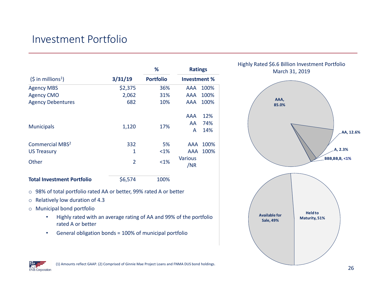## Investment Portfolio

|                                   |                | %                | <b>Ratings</b>      |      |
|-----------------------------------|----------------|------------------|---------------------|------|
| (5 in millions <sup>1</sup> )     | 3/31/19        | <b>Portfolio</b> | <b>Investment %</b> |      |
| <b>Agency MBS</b>                 | \$2,375        | 36%              | AAA                 | 100% |
| <b>Agency CMO</b>                 | 2,062          | 31%              | AAA                 | 100% |
| <b>Agency Debentures</b>          | 682            | 10%              | AAA                 | 100% |
|                                   |                |                  | AAA                 | 12%  |
| <b>Municipals</b>                 | 1,120          | 17%              | AA.                 | 74%  |
|                                   |                |                  | A                   | 14%  |
| <b>Commercial MBS<sup>2</sup></b> | 332            | 5%               | AAA                 | 100% |
| <b>US Treasury</b>                | 1              | $< 1\%$          | AAA                 | 100% |
| Other                             | $\overline{2}$ | <1%              | <b>Various</b>      |      |
|                                   |                |                  | /NR                 |      |
| <b>Total Investment Portfolio</b> | \$6,574        | 100%             |                     |      |

- o 98% of total portfolio rated AA or better, 99% rated A or better
- o Relatively low duration of 4.3
- o Municipal bond portfolio
	- • Highly rated with an average rating of AA and 99% of the portfolio rated A or better
	- •General obligation bonds <sup>=</sup> 100% of municipal portfolio



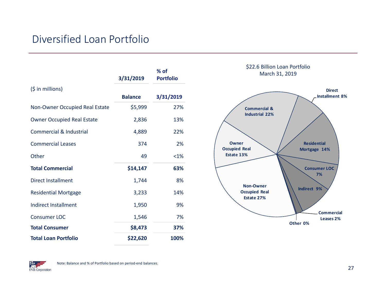### Diversified Loan Portfolio

|                                    | 3/31/2019      | % of<br><b>Portfolio</b> |
|------------------------------------|----------------|--------------------------|
| $(5$ in millions)                  | <b>Balance</b> | 3/31/2019                |
| Non-Owner Occupied Real Estate     | \$5,999        | 27%                      |
| <b>Owner Occupied Real Estate</b>  | 2,836          | 13%                      |
| <b>Commercial &amp; Industrial</b> | 4,889          | 22%                      |
| <b>Commercial Leases</b>           | 374            | 2%                       |
| Other                              | 49             | <1%                      |
| <b>Total Commercial</b>            | \$14,147       | 63%                      |
| <b>Direct Installment</b>          | 1,744          | 8%                       |
| <b>Residential Mortgage</b>        | 3,233          | 14%                      |
| <b>Indirect Installment</b>        | 1,950          | 9%                       |
| <b>Consumer LOC</b>                | 1,546          | 7%                       |
| <b>Total Consumer</b>              | \$8,473        | 37%                      |
| <b>Total Loan Portfolio</b>        | \$22,620       | 100%                     |



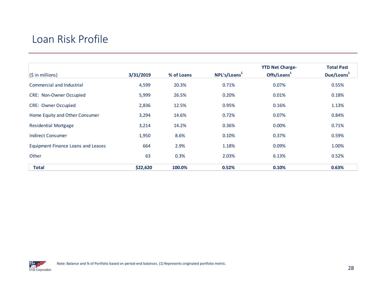### Loan Risk Profile

|                                    |           |            |                          | <b>YTD Net Charge-</b>  | <b>Total Past</b>      |
|------------------------------------|-----------|------------|--------------------------|-------------------------|------------------------|
| $(S \in \mathbb{N})$               | 3/31/2019 | % of Loans | NPL's/Loans <sup>1</sup> | Offs/Loans <sup>1</sup> | Due/Loans <sup>1</sup> |
| Commercial and Industrial          | 4,599     | 20.3%      | 0.71%                    | 0.07%                   | 0.55%                  |
| <b>CRE: Non-Owner Occupied</b>     | 5,999     | 26.5%      | 0.20%                    | 0.01%                   | 0.18%                  |
| <b>CRE: Owner Occupied</b>         | 2,836     | 12.5%      | 0.95%                    | 0.16%                   | 1.13%                  |
| Home Equity and Other Consumer     | 3,294     | 14.6%      | 0.72%                    | 0.07%                   | 0.84%                  |
| <b>Residential Mortgage</b>        | 3,214     | 14.2%      | 0.36%                    | 0.00%                   | 0.71%                  |
| <b>Indirect Consumer</b>           | 1,950     | 8.6%       | 0.10%                    | 0.37%                   | 0.59%                  |
| Equipment Finance Loans and Leases | 664       | 2.9%       | 1.18%                    | 0.09%                   | 1.00%                  |
| Other                              | 63        | 0.3%       | 2.03%                    | 6.13%                   | 0.52%                  |
| <b>Total</b>                       | \$22,620  | 100.0%     | 0.52%                    | 0.10%                   | 0.63%                  |

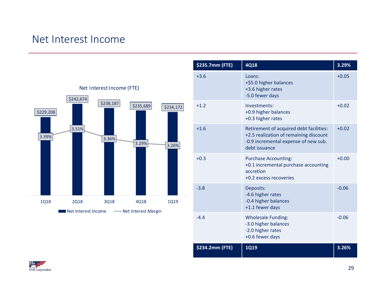### Net Interest Income



| \$235.7mm (FTE) | <b>4Q18</b>                                                                                                                                | 3.29%   |
|-----------------|--------------------------------------------------------------------------------------------------------------------------------------------|---------|
| $+3.6$          | Loans:<br>+\$5.0 higher balances<br>+3.6 higher rates<br>-5.0 fewer days                                                                   | $+0.05$ |
| $+1.2$          | Investments:<br>+0.9 higher balances<br>+0.3 higher rates                                                                                  | $+0.02$ |
| $+1.6$          | Retirement of acquired debt facilities:<br>+2.5 realization of remaining discount<br>-0.9 incremental expense of new sub.<br>debt issuance | $+0.02$ |
| $+0.3$          | <b>Purchase Accounting:</b><br>+0.1 incremental purchase accounting<br>accretion<br>+0.2 excess recoveries                                 | $+0.00$ |
| $-3.8$          | Deposits:<br>-4.6 higher rates<br>-0.4 higher balances<br>+1.1 fewer days                                                                  | $-0.06$ |
| $-4.4$          | <b>Wholesale Funding:</b><br>-3.0 higher balances<br>-2.0 higher rates<br>+0.6 fewer days                                                  | $-0.06$ |
| \$234.2mm (FTE) | <b>1Q19</b>                                                                                                                                | 3.26%   |

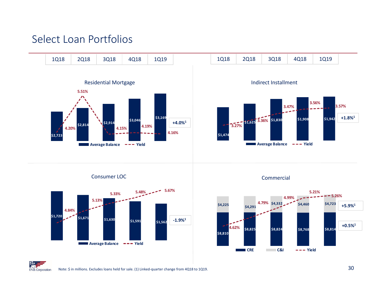### Select Loan Portfolios

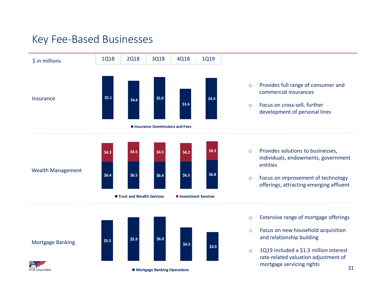### Key Fee‐Based Businesses

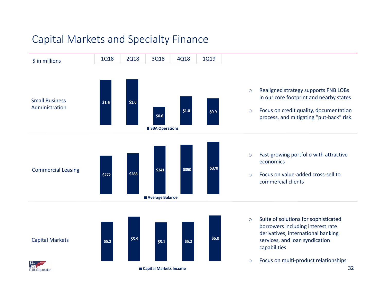# Capital Markets and Specialty Finance

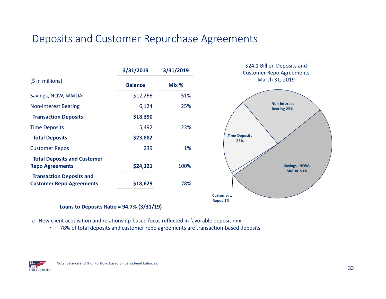### Deposits and Customer Repurchase Agreements



#### **Loans to Deposits Ratio <sup>=</sup> 94.7% (3/31/19)**

- $\circ$  New client acquisition and relationship-based focus reflected in favorable deposit mix
	- •78% of total deposits and customer repo agreements are transaction‐based deposits

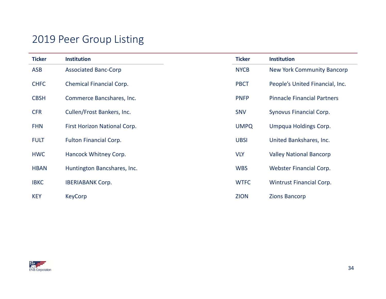### 2019 Peer Group Listing

| <b>Ticker</b> | <b>Institution</b>              | <b>Ticker</b> | <b>Institution</b>                 |
|---------------|---------------------------------|---------------|------------------------------------|
| <b>ASB</b>    | <b>Associated Banc-Corp</b>     | <b>NYCB</b>   | <b>New York Community Bancorp</b>  |
| <b>CHFC</b>   | <b>Chemical Financial Corp.</b> | <b>PBCT</b>   | People's United Financial, Inc.    |
| <b>CBSH</b>   | Commerce Bancshares, Inc.       | <b>PNFP</b>   | <b>Pinnacle Financial Partners</b> |
| <b>CFR</b>    | Cullen/Frost Bankers, Inc.      | <b>SNV</b>    | Synovus Financial Corp.            |
| <b>FHN</b>    | First Horizon National Corp.    | <b>UMPQ</b>   | Umpqua Holdings Corp.              |
| <b>FULT</b>   | <b>Fulton Financial Corp.</b>   | <b>UBSI</b>   | United Bankshares, Inc.            |
| <b>HWC</b>    | Hancock Whitney Corp.           | <b>VLY</b>    | <b>Valley National Bancorp</b>     |
| <b>HBAN</b>   | Huntington Bancshares, Inc.     | <b>WBS</b>    | Webster Financial Corp.            |
| <b>IBKC</b>   | <b>IBERIABANK Corp.</b>         | <b>WTFC</b>   | <b>Wintrust Financial Corp.</b>    |
| <b>KEY</b>    | <b>KeyCorp</b>                  | <b>ZION</b>   | <b>Zions Bancorp</b>               |

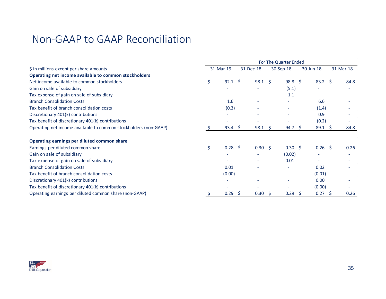|                                                                  |                      |           |                |           | For The Quarter Ended |              |                |           |      |
|------------------------------------------------------------------|----------------------|-----------|----------------|-----------|-----------------------|--------------|----------------|-----------|------|
| \$ in millions except per share amounts                          | 31-Mar-19            | 31-Dec-18 |                | 30-Sep-18 |                       | $30$ -Jun-18 |                | 31-Mar-18 |      |
| Operating net income available to common stockholders            |                      |           |                |           |                       |              |                |           |      |
| Net income available to common stockholders                      | \$<br>$92.1 \quad $$ |           | $98.1 \quad $$ |           | $98.8 \quad $$        |              | $83.2 \quad 5$ |           | 84.8 |
| Gain on sale of subsidiary                                       |                      |           |                |           | (5.1)                 |              |                |           |      |
| Tax expense of gain on sale of subsidiary                        |                      |           |                |           | 1.1                   |              |                |           |      |
| <b>Branch Consolidation Costs</b>                                | 1.6                  |           |                |           |                       |              | 6.6            |           |      |
| Tax benefit of branch consolidation costs                        | (0.3)                |           |                |           |                       |              | (1.4)          |           |      |
| Discretionary 401(k) contributions                               |                      |           |                |           |                       |              | 0.9            |           |      |
| Tax benefit of discretionary 401(k) contributions                |                      |           |                |           |                       |              | (0.2)          |           |      |
| Operating net income available to common stockholders (non-GAAP) | $93.4 \quad $5$      |           | 98.1           | -\$       | 94.7                  | - \$         | 89.1           | - \$      | 84.8 |
| Operating earnings per diluted common share                      |                      |           |                |           |                       |              |                |           |      |
| Earnings per diluted common share                                | \$<br>$0.28 \quad $$ |           | $0.30 \pm 5$   |           | $0.30 \quad $$        |              | 0.26           | - Ś       | 0.26 |
| Gain on sale of subsidiary                                       |                      |           |                |           | (0.02)                |              |                |           |      |
| Tax expense of gain on sale of subsidiary                        |                      |           |                |           | 0.01                  |              |                |           |      |
| <b>Branch Consolidation Costs</b>                                | 0.01                 |           |                |           |                       |              | 0.02           |           |      |
| Tax benefit of branch consolidation costs                        | (0.00)               |           |                |           |                       |              | (0.01)         |           |      |
| Discretionary 401(k) contributions                               | ۰                    |           |                |           |                       |              | 0.00           |           |      |
| Tax benefit of discretionary 401(k) contributions                |                      |           |                |           |                       |              | (0.00)         |           |      |
| Operating earnings per diluted common share (non-GAAP)           | 0.29                 | S         | 0.30           | -S        | 0.29                  | -S           | 0.27           | -S        | 0.26 |

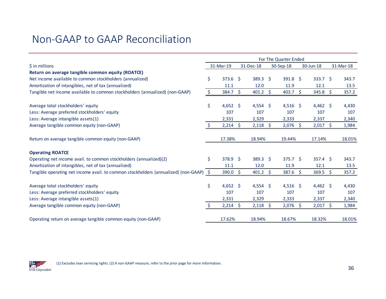|                                                                                        | For The Quarter Ended |            |         |                 |     |                   |  |                  |  |           |
|----------------------------------------------------------------------------------------|-----------------------|------------|---------|-----------------|-----|-------------------|--|------------------|--|-----------|
| $$$ in millions                                                                        |                       | 31-Mar-19  |         | 31-Dec-18       |     | 30-Sep-18         |  | 30-Jun-18        |  | 31-Mar-18 |
| Return on average tangible common equity (ROATCE)                                      |                       |            |         |                 |     |                   |  |                  |  |           |
| Net income available to common stockholders (annualized)                               | \$                    | $373.6$ \$ |         | $389.3 \quad $$ |     | $391.8 \; \simeq$ |  | $333.7 \quad$ \$ |  | 343.7     |
| Amortization of intangibles, net of tax (annualized)                                   |                       | 11.1       |         | 12.0            |     | 11.9              |  | 12.1             |  | 13.5      |
| Tangible net income available to common stockholders (annualized) (non-GAAP)           | \$                    | 384.7      | $\zeta$ | $401.2 \div$    |     | 403.7 \$          |  | $345.8 \div$     |  | 357.2     |
| Average total stockholders' equity                                                     | \$                    | 4,652 \$   |         | 4,554 \$        |     | 4,516 \$          |  | 4,462 \$         |  | 4,430     |
| Less: Average preferred stockholders' equity                                           |                       | 107        |         | 107             |     | 107               |  | 107              |  | 107       |
| Less: Average intangible assets(1)                                                     |                       | 2,331      |         | 2,329           |     | 2,333             |  | 2,337            |  | 2,340     |
| Average tangible common equity (non-GAAP)                                              |                       | 2,214      | -S      | 2,118           | \$  | $2,076$ \$        |  | $2,017$ \$       |  | 1,984     |
| Return on average tangible common equity (non-GAAP)                                    |                       | 17.38%     |         | 18.94%          |     | 19.44%            |  | 17.14%           |  | 18.01%    |
| <b>Operating ROATCE</b>                                                                |                       |            |         |                 |     |                   |  |                  |  |           |
| Operating net income avail. to common stockholders (annualized)(2)                     | Ś.                    | 378.9 \$   |         | $389.3 \quad $$ |     | $375.7$ \$        |  | $357.4$ \$       |  | 343.7     |
| Amortization of intangibles, net of tax (annualized)                                   |                       | 11.1       |         | 12.0            |     | 11.9              |  | 12.1             |  | 13.5      |
| Tangible operating net income avail. to common stockholders (annualized) (non-GAAP) \$ |                       | 390.0      | \$      | 401.2           | \$  | $387.6 \quad $$   |  | $369.5$ \$       |  | 357.2     |
| Average total stockholders' equity                                                     | \$                    | 4,652 \$   |         | 4,554 \$        |     | 4,516 \$          |  | $4,462$ \$       |  | 4,430     |
| Less: Average preferred stockholders' equity                                           |                       | 107        |         | 107             |     | 107               |  | 107              |  | 107       |
| Less: Average intangible assets(1)                                                     |                       | 2,331      |         | 2,329           |     | 2,333             |  | 2,337            |  | 2,340     |
| Average tangible common equity (non-GAAP)                                              |                       | 2,214      | -S      | 2,118           | \$. | $2,076$ \$        |  | $2,017$ \$       |  | 1,984     |
| Operating return on average tangible common equity (non-GAAP)                          |                       | 17.62%     |         | 18.94%          |     | 18.67%            |  | 18.32%           |  | 18.01%    |

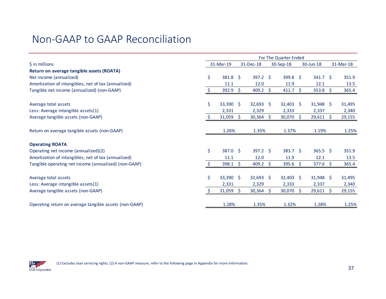|                                                        | For The Quarter Ended |                     |              |                 |           |                     |           |                           |                     |           |
|--------------------------------------------------------|-----------------------|---------------------|--------------|-----------------|-----------|---------------------|-----------|---------------------------|---------------------|-----------|
| $$$ in millions                                        |                       | 31-Mar-19           | 31-Dec-18    |                 | 30-Sep-18 |                     | 30-Jun-18 |                           |                     | 31-Mar-18 |
| Return on average tangible assets (ROATA)              |                       |                     |              |                 |           |                     |           |                           |                     |           |
| Net income (annualized)                                | \$                    | $381.8 \quad $$     |              | $397.2$ \$      |           | $399.8 \quad $$     |           | $341.7 \quad$ \$          |                     | 351.9     |
| Amortization of intangibles, net of tax (annualized)   |                       | 11.1                |              | 12.0            |           | 11.9                |           | 12.1                      |                     | 13.5      |
| Tangible net income (annualized) (non-GAAP)            |                       | 392.9               | <sub>S</sub> | 409.2           | -\$       | $411.7 \; \text{S}$ |           | $353.8 \quad \frac{2}{5}$ |                     | 365.4     |
| Average total assets                                   | Ś.                    | $33,390$ \$         |              | $32,693$ \$     |           | $32,403$ \$         |           | $31,948$ \$               |                     | 31,495    |
| Less: Average intangible assets(1)                     |                       | 2,331               |              | 2,329           |           | 2,333               |           | 2,337                     |                     | 2,340     |
| Average tangible assets (non-GAAP)                     |                       | 31,059              | -S           | 30,364          | S.        | 30,070 \$           |           | $29,611$ \$               |                     | 29,155    |
| Return on average tangible assets (non-GAAP)           |                       | 1.26%               |              | 1.35%           |           | 1.37%               |           | 1.19%                     |                     | 1.25%     |
| <b>Operating ROATA</b>                                 |                       |                     |              |                 |           |                     |           |                           |                     |           |
| Operating net income (annualized)(2)                   | \$                    | $387.0 \pm 5$       |              | $397.2 \quad S$ |           | $383.7 \quad $$     |           | $365.5$ \$                |                     | 351.9     |
| Amortization of intangibles, net of tax (annualized)   |                       | 11.1                |              | 12.0            |           | 11.9                |           | 12.1                      |                     | 13.5      |
| Tangible operating net income (annualized) (non-GAAP)  |                       | $398.1 \; \text{S}$ |              | 409.2           | S.        | $395.6 \; \simeq$   |           | $377.6 \div$              |                     | 365.4     |
| Average total assets                                   | \$                    | 33,390 \$           |              | $32,693$ \$     |           | $32,403$ \$         |           | $31,948$ \$               |                     | 31,495    |
| Less: Average intangible assets(1)                     |                       | 2,331               |              | 2,329           |           | 2,333               |           | 2,337                     |                     | 2,340     |
| Average tangible assets (non-GAAP)                     |                       | 31,059              | Ŝ.           | 30,364          | S.        | 30,070 \$           |           | 29,611                    | $\ddot{\mathsf{S}}$ | 29,155    |
| Operating return on average tangible assets (non-GAAP) |                       | 1.28%               |              | 1.35%           |           | 1.32%               |           | 1.28%                     |                     | 1.25%     |

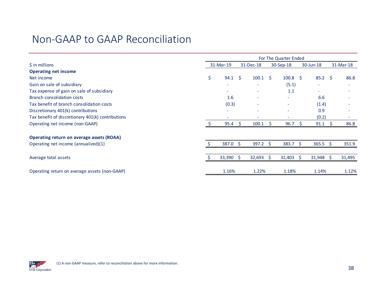|                                                   | For The Quarter Ended |           |              |                 |              |                           |    |             |              |           |
|---------------------------------------------------|-----------------------|-----------|--------------|-----------------|--------------|---------------------------|----|-------------|--------------|-----------|
| $\frac{1}{2}$ in millions                         |                       | 31-Mar-19 |              | 31-Dec-18       |              | 30-Sep-18                 |    | 30-Jun-18   |              | 31-Mar-18 |
| <b>Operating net income</b>                       |                       |           |              |                 |              |                           |    |             |              |           |
| Net income                                        | \$                    | 94.1      | -Ś           | 100.1           | <sup>S</sup> | $100.8 \quad \frac{2}{3}$ |    | $85.2 \div$ |              | 86.8      |
| Gain on sale of subsidiary                        |                       |           |              | ٠               |              | (5.1)                     |    |             |              |           |
| Tax expense of gain on sale of subsidiary         |                       |           |              | ٠               |              | 1.1                       |    | $\sim$      |              |           |
| Branch consolidation costs                        |                       | 1.6       |              | ٠               |              | ÷                         |    | 6.6         |              |           |
| Tax benefit of branch consolidation costs         |                       | (0.3)     |              |                 |              | $\overline{\phantom{a}}$  |    | (1.4)       |              |           |
| Discretionary 401(k) contributions                |                       |           |              |                 |              | $\overline{\phantom{a}}$  |    | 0.9         |              |           |
| Tax benefit of discretionary 401(k) contributions |                       |           |              | $\sim$          |              | $\overline{\phantom{a}}$  |    | (0.2)       |              |           |
| Operating net income (non-GAAP)                   |                       | 95.4      |              | 100.1           | S            | 96.7                      |    | 91.1        | <sub>S</sub> | 86.8      |
| Operating return on average assets (ROAA)         |                       |           |              |                 |              |                           |    |             |              |           |
| Operating net income (annualized)(1)              |                       | 387.0     | <sup>5</sup> | $397.2 \quad $$ |              | $383.7 \quad$ \$          |    | $365.5$ \$  |              | 351.9     |
|                                                   |                       |           |              |                 |              |                           |    |             |              |           |
| Average total assets                              |                       | 33,390    | <sub>S</sub> | 32,693          | S.           | 32,403                    | S. | 31,948      | S.           | 31,495    |
| Operating return on average assets (non-GAAP)     |                       | 1.16%     |              | 1.22%           |              | 1.18%                     |    | 1.14%       |              | 1.12%     |

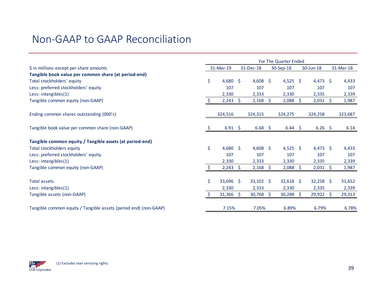|                                                                  | For The Quarter Ended |                    |    |             |    |             |      |             |              |           |  |
|------------------------------------------------------------------|-----------------------|--------------------|----|-------------|----|-------------|------|-------------|--------------|-----------|--|
| \$ in millions except per share amounts                          |                       | 31-Mar-19          |    | 31-Dec-18   |    | 30-Sep-18   |      | 30-Jun-18   |              | 31-Mar-18 |  |
| Tangible book value per common share (at period-end)             |                       |                    |    |             |    |             |      |             |              |           |  |
| Total stockholders' equity                                       | \$                    | $4,680$ \$         |    | $4,608$ \$  |    | $4,525$ \$  |      | 4,473       | -S           | 4,433     |  |
| Less: preferred stockholders' equity                             |                       | 107                |    | 107         |    | 107         |      | 107         |              | 107       |  |
| Less: intangibles(1)                                             |                       | 2,330              |    | 2,333       |    | 2,330       |      | 2,335       |              | 2,339     |  |
| Tangible common equity (non-GAAP)                                | -S                    | $2,243$ \$         |    | $2,168$ \$  |    | $2,088$ \$  |      | 2,031       | <sub>S</sub> | 1,987     |  |
| Ending common shares outstanding (000's)                         |                       | 324,516            |    | 324,315     |    | 324,275     |      | 324,258     |              | 323,687   |  |
| Tangible book value per common share (non-GAAP)                  |                       | $6.91 \; \text{S}$ |    | $6.68 \div$ |    | $6.44 \div$ |      | $6.26$ \$   |              | 6.14      |  |
| Tangible common equity / Tangible assets (at period-end)         |                       |                    |    |             |    |             |      |             |              |           |  |
| Total stockholders equity                                        | \$                    | $4,680$ \$         |    | 4,608 \$    |    | 4,525 \$    |      | $4,473$ \$  |              | 4,433     |  |
| Less: preferred stockholders' equity                             |                       | 107                |    | 107         |    | 107         |      | 107         |              | 107       |  |
| Less: intangibles(1)                                             |                       | 2,330              |    | 2,333       |    | 2,330       |      | 2,335       |              | 2,339     |  |
| Tangible common equity (non-GAAP)                                |                       | 2,243              | -S | 2,168       | S. | 2,088       | - \$ | 2,031       | <sub>S</sub> | 1,987     |  |
| <b>Total assets</b>                                              | \$                    | $33,696$ \$        |    | $33,102$ \$ |    | $32,618$ \$ |      | $32,258$ \$ |              | 31,652    |  |
| Less: intangibles(1)                                             |                       | 2,330              |    | 2,333       |    | 2,330       |      | 2,335       |              | 2,339     |  |
| Tangible assets (non-GAAP)                                       | <sup>S</sup>          | $31,366$ \$        |    | $30,768$ \$ |    | $30,288$ \$ |      | $29,922$ \$ |              | 29,313    |  |
| Tangible common equity / Tangible assets (period end) (non-GAAP) |                       | 7.15%              |    | 7.05%       |    | 6.89%       |      | 6.79%       |              | 6.78%     |  |

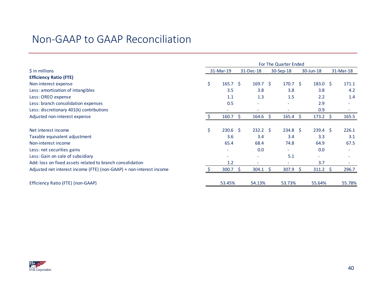|                                                                     |                       |              |                  | For The Quarter Ended    |           |                  |           |
|---------------------------------------------------------------------|-----------------------|--------------|------------------|--------------------------|-----------|------------------|-----------|
| $\frac{1}{2}$ in millions                                           | 31-Mar-19             | 31-Dec-18    |                  | 30-Sep-18                | 30-Jun-18 |                  | 31-Mar-18 |
| <b>Efficiency Ratio (FTE)</b>                                       |                       |              |                  |                          |           |                  |           |
| Non-interest expense                                                | \$<br>$165.7 \; \S$   |              | $169.7 \quad$ \$ | $170.7 \pm 5$            |           | $183.0 \quad $$  | 171.1     |
| Less: amortization of intangibles                                   | 3.5                   |              | 3.8              | 3.8                      |           | 3.8              | 4.2       |
| Less: OREO expense                                                  | 1.1                   |              | 1.3              | 1.5                      |           | 2.2              | 1.4       |
| Less: branch consolidation expenses                                 | 0.5                   |              |                  | $\overline{\phantom{a}}$ |           | 2.9              |           |
| Less: discretionary 401(k) contributions                            |                       |              | ٠                |                          |           | 0.9              |           |
| Adjusted non-interest expense                                       | 160.7                 | <sub>S</sub> | $164.6 \quad $$  | $165.4 \quad$            |           | $173.2 \quad$ \$ | 165.5     |
|                                                                     |                       |              |                  |                          |           |                  |           |
| Net interest income                                                 | \$<br>$230.6 \quad $$ |              | $232.2 \quad$ \$ | $234.8 \quad $$          |           | $239.4 \quad $$  | 226.1     |
| Taxable equivalent adjustment                                       | 3.6                   |              | 3.4              | 3.4                      |           | 3.3              | 3.1       |
| Non-interest income                                                 | 65.4                  |              | 68.4             | 74.8                     |           | 64.9             | 67.5      |
| Less: net securities gains                                          | $\sim$                |              | 0.0              | $\overline{\phantom{a}}$ |           | 0.0              |           |
| Less: Gain on sale of subsidiary                                    |                       |              | $\sim$           | 5.1                      |           | ٠                |           |
| Add: loss on fixed assets related to branch consolidation           | 1.2                   |              | ۰                |                          |           | 3.7              |           |
| Adjusted net interest income (FTE) (non-GAAP) + non-interest income | 300.7                 | <sup>S</sup> | $304.1 \quad $$  | 307.9                    | -S        | $311.2 \quad$    | 296.7     |
| Efficiency Ratio (FTE) (non-GAAP)                                   | 53.45%                |              | 54.13%           | 53.73%                   |           | 55.64%           | 55.78%    |

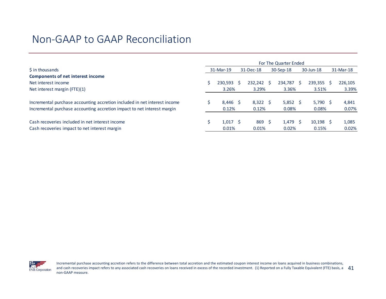|                                                                                                                                                      | For The Quarter Ended |                           |  |                        |  |                     |           |                      |  |                |  |  |  |  |
|------------------------------------------------------------------------------------------------------------------------------------------------------|-----------------------|---------------------------|--|------------------------|--|---------------------|-----------|----------------------|--|----------------|--|--|--|--|
| \$ in thousands                                                                                                                                      |                       | 31-Mar-19                 |  | 31-Dec-18              |  | 30-Sep-18           | 30-Jun-18 |                      |  | 31-Mar-18      |  |  |  |  |
| <b>Components of net interest income</b>                                                                                                             |                       |                           |  |                        |  |                     |           |                      |  |                |  |  |  |  |
| Net interest income                                                                                                                                  |                       | 230,593                   |  | 232.242                |  | 234,787             |           | $239,355$ \$         |  | 226,105        |  |  |  |  |
| Net interest margin (FTE)(1)                                                                                                                         |                       | 3.26%                     |  | 3.29%                  |  | 3.36%               |           | 3.51%                |  | 3.39%          |  |  |  |  |
| Incremental purchase accounting accretion included in net interest income<br>Incremental purchase accounting accretion impact to net interest margin |                       | $8.446$ \$<br>0.12%       |  | $8,322$ \$<br>0.12%    |  | $5,852$ \$<br>0.08% |           | $5,790$ \$<br>0.08%  |  | 4,841<br>0.07% |  |  |  |  |
| Cash recoveries included in net interest income<br>Cash recoveries impact to net interest margin                                                     |                       | $1,017 \quad$ \$<br>0.01% |  | $869 \quad 5$<br>0.01% |  | $1,479$ \$<br>0.02% |           | $10,198$ \$<br>0.15% |  | 1,085<br>0.02% |  |  |  |  |

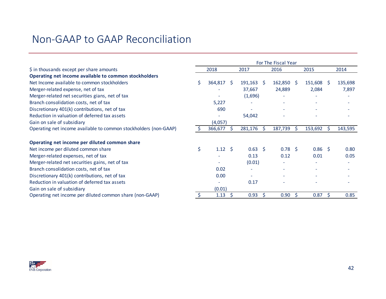|                                                                  |                    |                 |     |                       |              | For The Fiscal Year |    |                          |   |         |
|------------------------------------------------------------------|--------------------|-----------------|-----|-----------------------|--------------|---------------------|----|--------------------------|---|---------|
| \$ in thousands except per share amounts                         |                    | 2018            |     | 2017                  |              | 2016                |    | 2015                     |   | 2014    |
| Operating net income available to common stockholders            |                    |                 |     |                       |              |                     |    |                          |   |         |
| Net Income available to common stockholders                      | Ŝ.                 | 364,817         | - S | $191,163 \quad \zeta$ |              | $162,850$ \$        |    | $151,608$ \$             |   | 135,698 |
| Merger-related expense, net of tax                               |                    |                 |     | 37,667                |              | 24,889              |    | 2,084                    |   | 7,897   |
| Merger-related net securities gians, net of tax                  |                    |                 |     | (1,696)               |              |                     |    |                          |   |         |
| Branch consolidation costs, net of tax                           |                    | 5,227           |     |                       |              |                     |    |                          |   |         |
| Discretionary 401(k) contributions, net of tax                   |                    | 690             |     |                       |              |                     |    |                          |   |         |
| Reduction in valuation of deferred tax assets                    |                    |                 |     | 54,042                |              |                     |    |                          |   |         |
| Gain on sale of subsidiary                                       |                    | (4,057)         |     |                       |              |                     |    |                          |   |         |
| Operating net income available to common stockholders (non-GAAP) |                    | 366,677         |     | 281,176               | <sub>S</sub> | 187,739             | S. | 153,692                  | S | 143,595 |
| Operating net income per diluted common share                    |                    |                 |     |                       |              |                     |    |                          |   |         |
| Net income per diluted common share                              | $\mathsf{\dot{S}}$ | $1.12 \quad$ \$ |     | $0.63 \quad $$        |              | $0.78 \quad$ \$     |    | $0.86$ \$                |   | 0.80    |
| Merger-related expenses, net of tax                              |                    |                 |     | 0.13                  |              | 0.12                |    | 0.01                     |   | 0.05    |
| Merger-related net securities gains, net of tax                  |                    |                 |     | (0.01)                |              |                     |    |                          |   |         |
| Branch consolidation costs, net of tax                           |                    | 0.02            |     |                       |              |                     |    |                          |   |         |
| Discretionary 401(k) contributions, net of tax                   |                    | 0.00            |     |                       |              |                     |    | $\overline{\phantom{a}}$ |   |         |
| Reduction in valuation of deferred tax assets                    |                    |                 |     | 0.17                  |              |                     |    |                          |   |         |
| Gain on sale of subsidiary                                       |                    | (0.01)          |     |                       |              |                     |    |                          |   |         |
| Operating net income per diluted common share (non-GAAP)         |                    | 1.13            |     | 0.93                  |              | 0.90                | S  | 0.87                     | Ś | 0.85    |

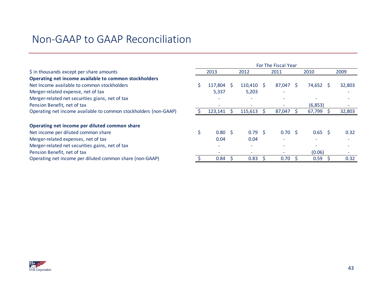|                                                                  | For The Fiscal Year |                 |              |                   |  |                          |  |                        |        |
|------------------------------------------------------------------|---------------------|-----------------|--------------|-------------------|--|--------------------------|--|------------------------|--------|
| \$ in thousands except per share amounts                         |                     | 2013            |              | 2012              |  | 2011                     |  | 2010                   | 2009   |
| Operating net income available to common stockholders            |                     |                 |              |                   |  |                          |  |                        |        |
| Net Income available to common stockholders                      |                     | 117.804         | <sub>S</sub> | $110,410 \pm 5$   |  | 87,047 \$                |  | 74,652<br><sub>S</sub> | 32,803 |
| Merger-related expense, net of tax                               |                     | 5,337           |              | 5,203             |  |                          |  |                        |        |
| Merger-related net securities gians, net of tax                  |                     |                 |              |                   |  |                          |  |                        |        |
| Pension Benefit, net of tax                                      |                     |                 |              |                   |  |                          |  | (6,853)                |        |
| Operating net income available to common stockholders (non-GAAP) |                     | 123,141         |              | 115,613           |  | 87,047                   |  | 67,799                 | 32,803 |
|                                                                  |                     |                 |              |                   |  |                          |  |                        |        |
| Operating net income per diluted common share                    |                     |                 |              |                   |  |                          |  |                        |        |
| Net income per diluted common share                              |                     | $0.80 \quad$ \$ |              | 0.79 <sup>5</sup> |  | $0.70 \,$ \$             |  | $0.65$ \$              | 0.32   |
| Merger-related expenses, net of tax                              |                     | 0.04            |              | 0.04              |  |                          |  | $\equiv$               |        |
| Merger-related net securities gains, net of tax                  |                     | $\equiv$        |              |                   |  |                          |  |                        |        |
| Pension Benefit, net of tax                                      |                     |                 |              |                   |  | $\overline{\phantom{a}}$ |  | (0.06)                 |        |
| Operating net income per diluted common share (non-GAAP)         |                     | 0.84            |              | 0.83              |  | 0.70                     |  | 0.59                   | 0.32   |

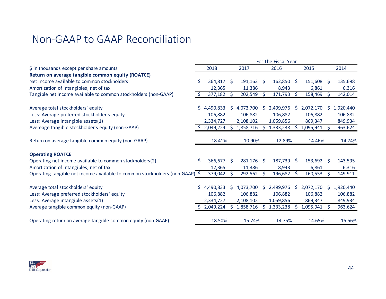|                                                                              | For The Fiscal Year |             |    |           |              |              |              |           |              |           |
|------------------------------------------------------------------------------|---------------------|-------------|----|-----------|--------------|--------------|--------------|-----------|--------------|-----------|
| \$ in thousands except per share amounts                                     |                     | 2018        |    | 2017      |              | 2016         |              | 2015      |              | 2014      |
| Return on average tangible common equity (ROATCE)                            |                     |             |    |           |              |              |              |           |              |           |
| Net income available to common stockholders                                  | \$                  | 364,817     | -Ŝ | 191,163   | <sub>S</sub> | $162,850$ \$ |              | 151,608   | <sup>S</sup> | 135,698   |
| Amortization of intangibles, net of tax                                      |                     | 12,365      |    | 11,386    |              | 8,943        |              | 6,861     |              | 6,316     |
| Tangible net income available to common stockholders (non-GAAP)              | S.                  | 377,182     |    | 202,549   | <sub>S</sub> | 171,793      | S.           | 158,469   | S.           | 142,014   |
| Average total stockholders' equity                                           | S.                  | 4,490,833   | S. | 4,073,700 | S.           | 2,499,976    | S            | 2,072,170 | S.           | 1,920,440 |
| Less: Average preferred stockholder's equity                                 |                     | 106,882     |    | 106,882   |              | 106,882      |              | 106,882   |              | 106,882   |
| Less: Average intangible assets(1)                                           |                     | 2,334,727   |    | 2,108,102 |              | 1,059,856    |              | 869,347   |              | 849,934   |
| Avereage tangible stockholder's equity (non-GAAP)                            |                     | 2,049,224   |    | 1,858,716 | Ŝ.           | 1,333,238    | S            | 1,095,941 |              | 963,624   |
| Return on average tangible common equity (non-GAAP)                          |                     | 18.41%      |    | 10.90%    |              | 12.89%       |              | 14.46%    |              | 14.74%    |
| <b>Operating ROATCE</b>                                                      |                     |             |    |           |              |              |              |           |              |           |
| Operating net income available to common stockholders(2)                     | Ŝ.                  | 366,677     | -S | 281,176   | -S           | 187,739 \$   |              | 153,692   | -S           | 143,595   |
| Amortization of intangibles, net of tax                                      |                     | 12,365      |    | 11,386    |              | 8,943        |              | 6,861     |              | 6,316     |
| Operating tangible net income available to common stockholders (non-GAAP) \$ |                     | 379,042     |    | 292,562   | <sub>S</sub> | 196,682      | S            | 160,553   | S            | 149,911   |
| Average total stockholders' equity                                           |                     | \$4,490,833 | S. | 4,073,700 | S.           | 2,499,976    | <sup>S</sup> | 2,072,170 | S.           |           |
|                                                                              |                     | 106,882     |    | 106,882   |              |              |              |           |              | 1,920,440 |
| Less: Average preferred stockholders' equity                                 |                     |             |    |           |              | 106,882      |              | 106,882   |              | 106,882   |
| Less: Average intangible assets(1)                                           |                     | 2,334,727   |    | 2,108,102 |              | 1,059,856    |              | 869,347   |              | 849,934   |
| Average tangible common equity (non-GAAP)                                    |                     | 2,049,224   |    | 1,858,716 | S            | 1,333,238    | S            | 1,095,941 | S            | 963,624   |
| Operating return on average tangible common equity (non-GAAP)                |                     | 18.50%      |    | 15.74%    |              | 14.75%       |              | 14.65%    |              | 15.56%    |

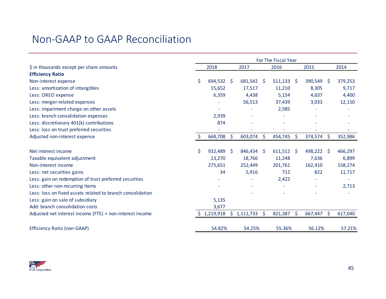|                                                            | For The Fiscal Year |            |              |             |    |              |         |            |              |         |
|------------------------------------------------------------|---------------------|------------|--------------|-------------|----|--------------|---------|------------|--------------|---------|
| \$ in thousands except per share amounts                   |                     | 2018       |              | 2017        |    | 2016         |         | 2015       |              | 2014    |
| <b>Efficiency Ratio</b>                                    |                     |            |              |             |    |              |         |            |              |         |
| Non-interest expense                                       | \$.                 | 694,532 \$ |              | 681,542 \$  |    | $511,133$ \$ |         | 390,549    | <sub>S</sub> | 379,253 |
| Less: amortization of intangibles                          |                     | 15,652     |              | 17,517      |    | 11,210       |         | 8,305      |              | 9,717   |
| Less: OREO expense                                         |                     | 6,359      |              | 4,438       |    | 5,154        |         | 4,637      |              | 4,400   |
| Less: merger-related expenses                              |                     |            |              | 56,513      |    | 37,439       |         | 3,033      |              | 12,150  |
| Less: impairment charge on other assets                    |                     |            |              |             |    | 2,585        |         |            |              |         |
| Less: branch consolidation expenses                        |                     | 2,939      |              |             |    |              |         |            |              |         |
| Less: discretionary 401(k) contributions                   |                     | 874        |              |             |    |              |         |            |              |         |
| Less: loss on trust preferred securities                   |                     |            |              |             |    |              |         |            |              |         |
| Adjusted non-interest expense                              | \$                  | 668,708    | $\mathsf{S}$ | 603,074 \$  |    | 454,745      | -\$     | 374,574 \$ |              | 352,986 |
|                                                            |                     |            |              |             |    |              |         |            |              |         |
| Net interest income                                        | \$.                 | 932,489    | S.           | 846,434 \$  |    | $611,512$ \$ |         | 498,222    | -Ś           | 466,297 |
| Taxable equivalent adjustment                              |                     | 13,270     |              | 18,766      |    | 11,248       |         | 7,636      |              | 6,899   |
| Non-interest income                                        |                     | 275,651    |              | 252,449     |    | 201,761      |         | 162,410    |              | 158,274 |
| Less: net securities gains                                 |                     | 34         |              | 5,916       |    | 712          |         | 822        |              | 11,717  |
| Less: gain on redemption of trust preferred securities     |                     |            |              |             |    | 2,422        |         |            |              |         |
| Less: other non-recurring items                            |                     |            |              |             |    |              |         |            |              | 2,713   |
| Less: loss on fixed assets related to branch consolidation |                     |            |              |             |    |              |         |            |              |         |
| Less: gain on sale of subsidiary                           |                     | 5,135      |              |             |    |              |         |            |              |         |
| Add: branch consolidation costs                            |                     | 3,677      |              |             |    |              |         |            |              |         |
| Adjusted net interest income (FTE) + non-interest income   | S.                  | 1,219,918  |              | \$1,111,733 | \$ | 821,387      | $\zeta$ | 667,447    | $\zeta$      | 617,040 |
| <b>Efficiency Ratio (non-GAAP)</b>                         |                     | 54.82%     |              | 54.25%      |    | 55.36%       |         | 56.12%     |              | 57.21%  |

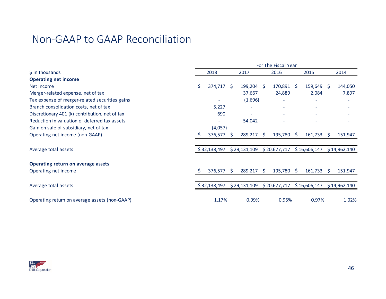|                                                | For The Fiscal Year |              |              |              |    |              |         |              |     |              |
|------------------------------------------------|---------------------|--------------|--------------|--------------|----|--------------|---------|--------------|-----|--------------|
| \$ in thousands                                |                     | 2018         |              | 2017         |    | 2016         |         | 2015         |     | 2014         |
| <b>Operating net income</b>                    |                     |              |              |              |    |              |         |              |     |              |
| Net income                                     | Ś.                  | 374,717      | -S           | 199,204      | -S | 170,891 \$   |         | 159,649      | -S  | 144,050      |
| Merger-related expense, net of tax             |                     |              |              | 37,667       |    | 24,889       |         | 2,084        |     | 7,897        |
| Tax expense of merger-related securities gains |                     |              |              | (1,696)      |    |              |         |              |     |              |
| Branch consolidation costs, net of tax         |                     | 5,227        |              |              |    |              |         |              |     |              |
| Discretionary 401 (k) contribution, net of tax |                     | 690          |              |              |    |              |         |              |     |              |
| Reduction in valuation of deferred tax assets  |                     |              |              | 54,042       |    |              |         |              |     |              |
| Gain on sale of subsidiary, net of tax         |                     | (4,057)      |              |              |    |              |         |              |     |              |
| Operating net income (non-GAAP)                | S.                  | 376,577      | <sub>S</sub> | 289,217      | S  | 195,780      | $\zeta$ | 161,733      | \$. | 151,947      |
|                                                |                     |              |              |              |    |              |         |              |     |              |
| Average total assets                           |                     | \$32,138,497 |              | \$29,131,109 |    | \$20,677,717 |         | \$16,606,147 |     | \$14,962,140 |
| Operating return on average assets             |                     |              |              |              |    |              |         |              |     |              |
| Operating net income                           |                     | 376,577      | S            | 289,217      | Ŝ. | 195,780      | S.      | 161,733      | S.  | 151,947      |
|                                                |                     |              |              |              |    |              |         |              |     |              |
| Average total assets                           |                     | \$32,138,497 |              | \$29,131,109 |    | \$20,677,717 |         | \$16,606,147 |     | \$14,962,140 |
| Operating return on average assets (non-GAAP)  |                     | 1.17%        |              | 0.99%        |    | 0.95%        |         | 0.97%        |     | 1.02%        |